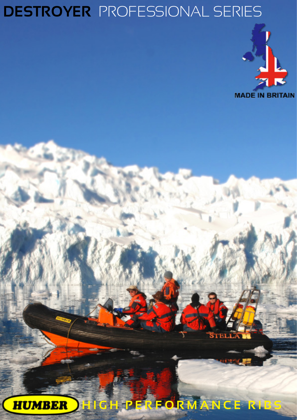# **DESTROYER** PROFESSIONAL SERIES



**HIGH PERFORMANCE RIBS**

 $\overline{\textbf{S}}$ tei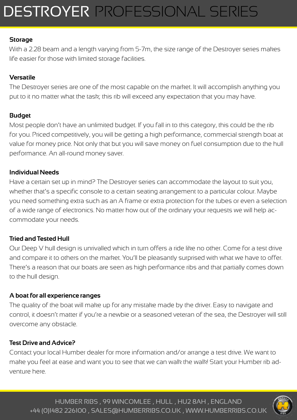# DESTROYERPROFESSIONAL SERIES

### **Storage**

With a 2.28 beam and a length varying from 5-7m, the size range of the Destroyer series makes life easier for those with limited storage facilities.

### **Versatile**

The Destroyer series are one of the most capable on the market. It will accomplish anything you put to it no matter what the task; this rib will exceed any expectation that you may have.

### **Budget**

Most people don't have an unlimited budget. If you fall in to this category, this could be the rib for you. Priced competitively, you will be getting a high performance, commercial strength boat at value for money price. Not only that but you will save money on fuel consumption due to the hull performance. An all-round money saver.

#### **Individual Needs**

Have a certain set up in mind? The Destroyer series can accommodate the layout to suit you, whether that's a specific console to a certain seating arrangement to a particular colour. Maybe you need something extra such as an A frame or extra protection for the tubes or even a selection of a wide range of electronics. No matter how out of the ordinary your requests we will help accommodate your needs.

### **Tried and Tested Hull**

Our Deep V hull design is unrivalled which in turn offers a ride like no other. Come for a test drive and compare it to others on the market. You'll be pleasantly surprised with what we have to offer. There's a reason that our boats are seen as high performance ribs and that partially comes down to the hull design.

### **A boat for all experience ranges**

The quality of the boat will make up for any mistake made by the driver. Easy to navigate and control, it doesn't matter if you're a newbie or a seasoned veteran of the sea, the Destroyer will still overcome any obstacle.

#### **Test Drive and Advice?**

Contact your local Humber dealer for more information and/or arrange a test drive. We want to make you feel at ease and want you to see that we can walk the walk! Start your Humber rib adventure here.

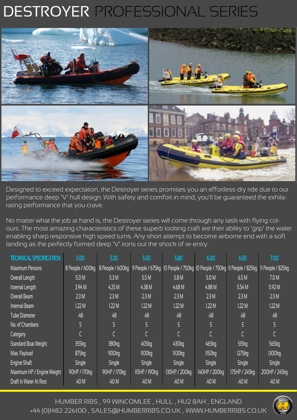# DESTROYERPROFESSIONAL SERIES



Designed to exceed expectation, the Destroyer series promises you an effortless dry ride due to our performance deep 'V' hull design. With safety and comfort in mind, you'll be guaranteed the exhilarating performance that you crave.

No matter what the job at hand is, the Destroyer series will come through any task with flying colours. The most amazing characteristics of these superb looking craft are their ability to 'grip' the water enabling sharp responsive high speed turns. Any short attempt to become airborne end with a soft landing as the perfectly formed deep 'V' irons out the shock of re-entry.

| <b>TECHNICAL SPECIFIC</b>   | 5.00                | 5.30              | 5.50          | 5.80                                                                   | 6.00                 | 6.50                 | 7.00              |
|-----------------------------|---------------------|-------------------|---------------|------------------------------------------------------------------------|----------------------|----------------------|-------------------|
| <b>Maximum Persons</b>      | 8 People / 600kg    | 8 People / 600kg  |               | 9 People / 675kg 10 People / 750kg 10 People / 750kg 11 People / 825kg |                      |                      | Il People / 825kg |
| Overall Length              | 5.0 M               | 5.3M              | 5.5M          | 5.8M                                                                   | 5.0 M                | 6.5M                 | 7.0 M             |
| Internal Length             | 3.94 <sub>M</sub>   | 4.25M             | 4.38M         | 4.68M                                                                  | 4.88 M               | 5.54 M               | 5.92 M            |
| Overall Beam                | 2.3M                | 2.3M              | 2.3M          | 2.3M                                                                   | 2.3M                 | 2.3M                 | 2.3M              |
| Internal Beam               | 1.22M               | 1.22M             | 1.22M         | 1.22M                                                                  | 1.22M                | 1.22M                | 1.22M             |
| <b>Tube Diameter</b>        | .48                 | .48               | .48           | .48                                                                    | .48                  | .48                  | .48               |
| No. of Chambers             | 5                   | 5                 | 5             | $\overline{5}$                                                         | 5                    | 5                    | 5                 |
| Category                    |                     |                   |               | $\mathcal{C}_{\mathcal{C}}$                                            |                      | Ċ                    |                   |
| <b>Standard Boat Weight</b> | $355$ $kg$          | 380kg             | 405kg         | 430 <sub>kg</sub>                                                      | 465kg                | $515$ <sub>kg</sub>  | 565kg             |
| Max. Payload                | $875$ <sub>kg</sub> | 900 <sub>kg</sub> | 1100kg        | 1100kg                                                                 | $1150$ <sub>kg</sub> | $1275$ <sub>kg</sub> | 1300kg            |
| Engine Shaft                | <b>Single</b>       | <b>Single</b>     | <b>Single</b> | <b>Single</b>                                                          | <b>Single</b>        | Single               | <b>Single</b>     |
| Maximum HP / Engine Weight  | 90HP / 170kg        | 90HP / 170kg      | 115HP / 190kg | 130HP / 200kg                                                          | 140HP / 200kg        | 175HP / 245kg        | 200HP / 245kg     |
| Draft In Water At Rest      | .40 M               | .40 M             | .40 M         | .40 M                                                                  | .40 M                | .40 M                | .40 M             |

HUMBER RIBS , 99 WINCOMLEE , HULL , HU2 8AH , ENGLAND +44 (0)1482 226100 , SALES@HUMBERRIBS.CO.UK , WWW.HUMBERRIBS.CO.UK